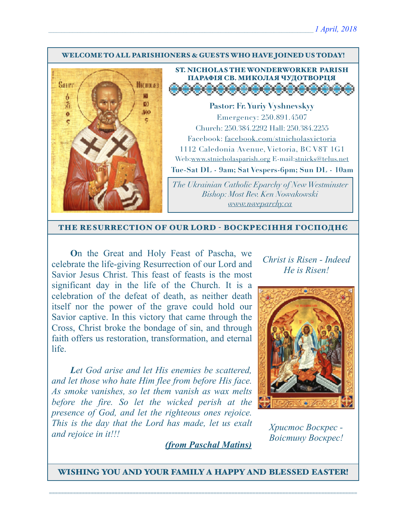#### WELCOME TO ALL PARISHIONERS & GUESTS WHO HAVE JOINED US TODAY!





**Pastor: Fr. Yuriy Vyshnevskyy** Emergency: 250.891.4507 Church: 250.384.2292 Hall: 250.384.2255 Facebook: facebook.com/stnicholasvictoria 1112 Caledonia Avenue, Victoria, BC V8T 1G1 Web[:www.stnicholasparish.org](http://www.stnicholasparish.org) E-mail:[stnicks@telus.net](mailto:stnicks@telus.net) **Tue-Sat DL - 9am; Sat Vespers-6pm; Sun DL - 10am**

*The Ukrainian Catholic Eparchy of New Westminster Bishop: Most Rev. Ken Nowakowski [www.nweparchy.ca](http://www.nweparchy.ca)*

THE RESURRECTION OF OUR LORD - ВОСКРЕСІННЯ ГОСПОДНЄ

**O**n the Great and Holy Feast of Pascha, we celebrate the life-giving Resurrection of our Lord and Savior Jesus Christ. This feast of feasts is the most significant day in the life of the Church. It is a celebration of the defeat of death, as neither death itself nor the power of the grave could hold our Savior captive. In this victory that came through the Cross, Christ broke the bondage of sin, and through faith offers us restoration, transformation, and eternal life.

*Let God arise and let His enemies be scattered, and let those who hate Him flee from before His face. As smoke vanishes, so let them vanish as wax melts before the fire. So let the wicked perish at the presence of God, and let the righteous ones rejoice. This is the day that the Lord has made, let us exalt and rejoice in it!!!* 

*Christ is Risen - Indeed He is Risen!* 



*Христос Воскрес - Воістину Воскрес!*

#### WISHING YOU AND YOUR FAMILY A HAPPY AND BLESSED EASTER!

*(from Paschal Matins)*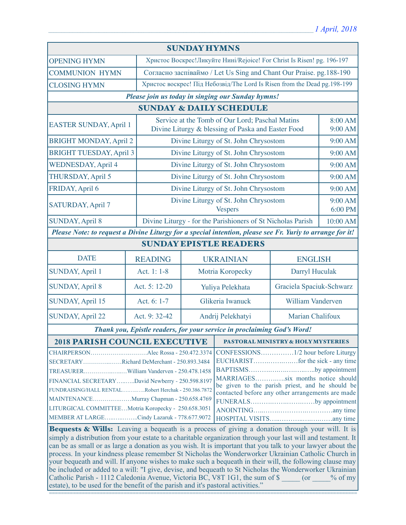| <b>SUNDAY HYMNS</b>                                                                                                                                                                                                                                                                                                                                                                                                                                                                                                                                                                                                                                                                                                                                                                                                                                                                                                                                         |                |                                                                                                       |                                                                           |                          |                    |  |
|-------------------------------------------------------------------------------------------------------------------------------------------------------------------------------------------------------------------------------------------------------------------------------------------------------------------------------------------------------------------------------------------------------------------------------------------------------------------------------------------------------------------------------------------------------------------------------------------------------------------------------------------------------------------------------------------------------------------------------------------------------------------------------------------------------------------------------------------------------------------------------------------------------------------------------------------------------------|----------------|-------------------------------------------------------------------------------------------------------|---------------------------------------------------------------------------|--------------------------|--------------------|--|
| <b>OPENING HYMN</b>                                                                                                                                                                                                                                                                                                                                                                                                                                                                                                                                                                                                                                                                                                                                                                                                                                                                                                                                         |                |                                                                                                       | Христос Воскрес!Ликуйте Нині/Rejoice! For Christ Is Risen! pg. 196-197    |                          |                    |  |
| <b>COMMUNION HYMN</b>                                                                                                                                                                                                                                                                                                                                                                                                                                                                                                                                                                                                                                                                                                                                                                                                                                                                                                                                       |                |                                                                                                       | Согласно заспіваймо / Let Us Sing and Chant Our Praise. pg.188-190        |                          |                    |  |
| <b>CLOSING HYMN</b>                                                                                                                                                                                                                                                                                                                                                                                                                                                                                                                                                                                                                                                                                                                                                                                                                                                                                                                                         |                |                                                                                                       | Христос воскрес! Під Небозвід/The Lord Is Risen from the Dead pg. 198-199 |                          |                    |  |
| Please join us today in singing our Sunday hymns!                                                                                                                                                                                                                                                                                                                                                                                                                                                                                                                                                                                                                                                                                                                                                                                                                                                                                                           |                |                                                                                                       |                                                                           |                          |                    |  |
| <b>SUNDAY &amp; DAILY SCHEDULE</b>                                                                                                                                                                                                                                                                                                                                                                                                                                                                                                                                                                                                                                                                                                                                                                                                                                                                                                                          |                |                                                                                                       |                                                                           |                          |                    |  |
| <b>EASTER SUNDAY, April 1</b>                                                                                                                                                                                                                                                                                                                                                                                                                                                                                                                                                                                                                                                                                                                                                                                                                                                                                                                               |                | Service at the Tomb of Our Lord; Paschal Matins<br>Divine Liturgy & blessing of Paska and Easter Food |                                                                           |                          | 8:00 AM<br>9:00 AM |  |
| <b>BRIGHT MONDAY, April 2</b>                                                                                                                                                                                                                                                                                                                                                                                                                                                                                                                                                                                                                                                                                                                                                                                                                                                                                                                               |                | Divine Liturgy of St. John Chrysostom                                                                 |                                                                           |                          | 9:00 AM            |  |
| <b>BRIGHT TUESDAY, April 3</b>                                                                                                                                                                                                                                                                                                                                                                                                                                                                                                                                                                                                                                                                                                                                                                                                                                                                                                                              |                | Divine Liturgy of St. John Chrysostom                                                                 |                                                                           |                          | 9:00 AM            |  |
| <b>WEDNESDAY, April 4</b>                                                                                                                                                                                                                                                                                                                                                                                                                                                                                                                                                                                                                                                                                                                                                                                                                                                                                                                                   |                | Divine Liturgy of St. John Chrysostom                                                                 |                                                                           |                          | 9:00 AM            |  |
| <b>THURSDAY, April 5</b>                                                                                                                                                                                                                                                                                                                                                                                                                                                                                                                                                                                                                                                                                                                                                                                                                                                                                                                                    |                | Divine Liturgy of St. John Chrysostom                                                                 |                                                                           |                          | 9:00 AM            |  |
| FRIDAY, April 6                                                                                                                                                                                                                                                                                                                                                                                                                                                                                                                                                                                                                                                                                                                                                                                                                                                                                                                                             |                |                                                                                                       | Divine Liturgy of St. John Chrysostom                                     |                          | 9:00 AM            |  |
| SATURDAY, April 7                                                                                                                                                                                                                                                                                                                                                                                                                                                                                                                                                                                                                                                                                                                                                                                                                                                                                                                                           |                | Divine Liturgy of St. John Chrysostom<br><b>Vespers</b>                                               |                                                                           | 9:00 AM<br>6:00 PM       |                    |  |
| <b>SUNDAY, April 8</b>                                                                                                                                                                                                                                                                                                                                                                                                                                                                                                                                                                                                                                                                                                                                                                                                                                                                                                                                      |                |                                                                                                       | Divine Liturgy - for the Parishioners of St Nicholas Parish               |                          | 10:00 AM           |  |
| Please Note: to request a Divine Liturgy for a special intention, please see Fr. Yuriy to arrange for it!                                                                                                                                                                                                                                                                                                                                                                                                                                                                                                                                                                                                                                                                                                                                                                                                                                                   |                |                                                                                                       |                                                                           |                          |                    |  |
| <b>SUNDAY EPISTLE READERS</b>                                                                                                                                                                                                                                                                                                                                                                                                                                                                                                                                                                                                                                                                                                                                                                                                                                                                                                                               |                |                                                                                                       |                                                                           |                          |                    |  |
| <b>DATE</b>                                                                                                                                                                                                                                                                                                                                                                                                                                                                                                                                                                                                                                                                                                                                                                                                                                                                                                                                                 | <b>READING</b> | <b>UKRAINIAN</b>                                                                                      |                                                                           | <b>ENGLISH</b>           |                    |  |
| <b>SUNDAY, April 1</b>                                                                                                                                                                                                                                                                                                                                                                                                                                                                                                                                                                                                                                                                                                                                                                                                                                                                                                                                      | Act. 1: 1-8    | Motria Koropecky                                                                                      |                                                                           | Darryl Huculak           |                    |  |
| <b>SUNDAY, April 8</b>                                                                                                                                                                                                                                                                                                                                                                                                                                                                                                                                                                                                                                                                                                                                                                                                                                                                                                                                      | Act. 5: 12-20  |                                                                                                       | Yuliya Pelekhata                                                          | Graciela Spaciuk-Schwarz |                    |  |
| <b>SUNDAY, April 15</b>                                                                                                                                                                                                                                                                                                                                                                                                                                                                                                                                                                                                                                                                                                                                                                                                                                                                                                                                     | Act. 6: 1-7    | Glikeria Iwanuck                                                                                      |                                                                           | William Vanderven        |                    |  |
| <b>SUNDAY, April 22</b>                                                                                                                                                                                                                                                                                                                                                                                                                                                                                                                                                                                                                                                                                                                                                                                                                                                                                                                                     | Act. 9: 32-42  |                                                                                                       | Andrij Pelekhatyi<br>Marian Chalifoux                                     |                          |                    |  |
| Thank you, Epistle readers, for your service in proclaiming God's Word!                                                                                                                                                                                                                                                                                                                                                                                                                                                                                                                                                                                                                                                                                                                                                                                                                                                                                     |                |                                                                                                       |                                                                           |                          |                    |  |
| <b>2018 PARISH COUNCIL EXECUTIVE</b>                                                                                                                                                                                                                                                                                                                                                                                                                                                                                                                                                                                                                                                                                                                                                                                                                                                                                                                        |                |                                                                                                       | <b>PASTORAL MINISTRY &amp; HOLY MYSTERIES</b>                             |                          |                    |  |
| SECRETARYRichard DeMerchant - 250.893.3484<br>BAPTISMSby appointment<br>MARRIAGESsix months notice should<br>FINANCIAL SECRETARYDavid Newberry - 250.598.8197<br>be given to the parish priest, and he should be<br>FUNDRAISING/HALL RENTALRobert Herchak - 250.386.7872<br>contacted before any other arrangements are made<br>MAINTENANCEMurray Chapman - 250.658.4769<br>FUNERALSby appointment<br>LITURGICAL COMMITTEEMotria Koropecky - 250.658.3051<br>MEMBER AT LARGECindy Lazaruk - 778.677.9072<br><b>Bequests &amp; Wills:</b> Leaving a bequeath is a process of giving a donation through your will. It is<br>simply a distribution from your estate to a charitable organization through your last will and testament. It<br>can be as small or as large a donation as you wish. It is important that you talk to your lawyer about the<br>process. In your kindness please remember St Nicholas the Wonderworker Ukrainian Catholic Church in |                |                                                                                                       |                                                                           |                          |                    |  |
| your bequeath and will. If anyone wishes to make such a bequeath in their will, the following clause may<br>be included or added to a will: "I give, devise, and bequeath to St Nicholas the Wonderworker Ukrainian                                                                                                                                                                                                                                                                                                                                                                                                                                                                                                                                                                                                                                                                                                                                         |                |                                                                                                       |                                                                           |                          |                    |  |

=======================================================================================================

estate), to be used for the benefit of the parish and it's pastoral activities."

Catholic Parish - 1112 Caledonia Avenue, Victoria BC, V8T 1G1, the sum of \$  $\qquad \qquad$  (or  $\qquad \qquad$  % of my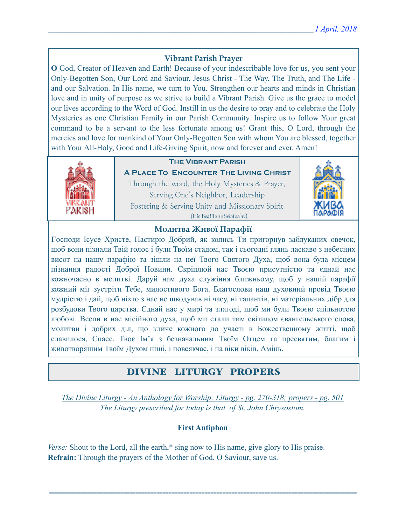## **Vibrant Parish Prayer**

**O** God, Creator of Heaven and Earth! Because of your indescribable love for us, you sent your Only-Begotten Son, Our Lord and Saviour, Jesus Christ - The Way, The Truth, and The Life and our Salvation. In His name, we turn to You. Strengthen our hearts and minds in Christian love and in unity of purpose as we strive to build a Vibrant Parish. Give us the grace to model our lives according to the Word of God. Instill in us the desire to pray and to celebrate the Holy Mysteries as one Christian Family in our Parish Community. Inspire us to follow Your great command to be a servant to the less fortunate among us! Grant this, O Lord, through the mercies and love for mankind of Your Only-Begotten Son with whom You are blessed, together with Your All-Holy, Good and Life-Giving Spirit, now and forever and ever. Amen!



# **The Vibrant Parish**

**A Place To Encounter The Living Christ** Through the word, the Holy Mysteries & Prayer, Serving One's Neighbor, Leadership Fostering & Serving Unity and Missionary Spirit (His Beatitude Sviatoslav)



### **Молитва Живої Парафії**

**Г**осподи Ісусе Христе, Пастирю Добрий, як колись Ти пригорнув заблуканих овечок, щоб вони пізнали Твій голос і були Твоїм стадом, так і сьогодні глянь ласкаво з небесних висот на нашу парафію та зішли на неї Твого Святого Духа, щоб вона була місцем пізнання радості Доброї Новини. Скріплюй нас Твоєю присутністю та єднай нас кожночасно в молитві. Даруй нам духа служіння ближньому, щоб у нашій парафії кожний міг зустріти Тебе, милостивого Бога. Благослови наш духовний провід Твоєю мудрістю і дай, щоб ніхто з нас не шкодував ні часу, ні талантів, ні матеріальних дібр для розбудови Твого царства. Єднай нас у мирі та злагоді, щоб ми були Твоєю спільнотою любові. Всели в нас місійного духа, щоб ми стали тим світилом євангельського слова, молитви і добрих діл, що кличе кожного до участі в Божественному житті, щоб славилося, Спасе, Твоє Ім'я з безначальним Твоїм Отцем та пресвятим, благим і животворящим Твоїм Духом нині, і повсякчас, і на віки віків. Амінь.

# DIVINE LITURGY PROPERS

*The Divine Liturgy - An Anthology for Worship: Liturgy - pg. 270-318; propers - pg. 501 The Liturgy prescribed for today is that of St. John Chrysostom.* 

## **First Antiphon**

=======================================================================================================

*Verse:* Shout to the Lord, all the earth,\* sing now to His name, give glory to His praise. **Refrain:** Through the prayers of the Mother of God, O Saviour, save us.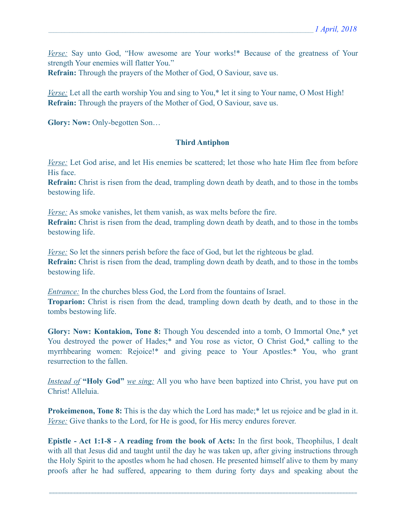*Verse:* Say unto God, "How awesome are Your works!\* Because of the greatness of Your strength Your enemies will flatter You."

**Refrain:** Through the prayers of the Mother of God, O Saviour, save us.

*Verse:* Let all the earth worship You and sing to You,\* let it sing to Your name, O Most High! **Refrain:** Through the prayers of the Mother of God, O Saviour, save us.

**Glory: Now:** Only-begotten Son…

## **Third Antiphon**

*Verse:* Let God arise, and let His enemies be scattered; let those who hate Him flee from before His face.

**Refrain:** Christ is risen from the dead, trampling down death by death, and to those in the tombs bestowing life.

*Verse:* As smoke vanishes, let them vanish, as wax melts before the fire.

**Refrain:** Christ is risen from the dead, trampling down death by death, and to those in the tombs bestowing life.

*Verse:* So let the sinners perish before the face of God, but let the righteous be glad. **Refrain:** Christ is risen from the dead, trampling down death by death, and to those in the tombs bestowing life.

*Entrance:* In the churches bless God, the Lord from the fountains of Israel. **Troparion:** Christ is risen from the dead, trampling down death by death, and to those in the tombs bestowing life.

**Glory: Now: Kontakion, Tone 8:** Though You descended into a tomb, O Immortal One,\* yet You destroyed the power of Hades;\* and You rose as victor, O Christ God,\* calling to the myrrhbearing women: Rejoice!\* and giving peace to Your Apostles:\* You, who grant resurrection to the fallen.

*Instead of* **"Holy God"** *we sing:* All you who have been baptized into Christ, you have put on Christ! Alleluia.

**Prokeimenon, Tone 8:** This is the day which the Lord has made;<sup>\*</sup> let us rejoice and be glad in it. *Verse:* Give thanks to the Lord, for He is good, for His mercy endures forever.

**Epistle - Act 1:1-8 - A reading from the book of Acts:** In the first book, Theophilus, I dealt with all that Jesus did and taught until the day he was taken up, after giving instructions through the Holy Spirit to the apostles whom he had chosen. He presented himself alive to them by many proofs after he had suffered, appearing to them during forty days and speaking about the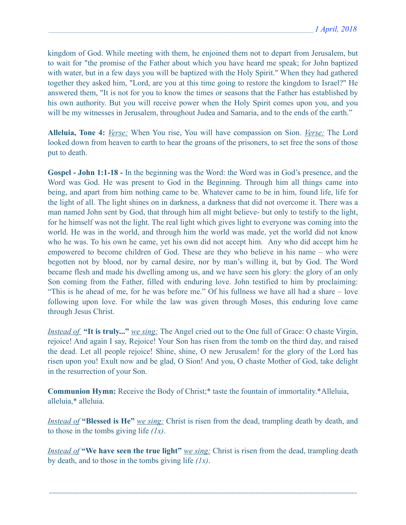kingdom of God. While meeting with them, he enjoined them not to depart from Jerusalem, but to wait for "the promise of the Father about which you have heard me speak; for John baptized with water, but in a few days you will be baptized with the Holy Spirit." When they had gathered together they asked him, "Lord, are you at this time going to restore the kingdom to Israel?" He answered them, "It is not for you to know the times or seasons that the Father has established by his own authority. But you will receive power when the Holy Spirit comes upon you, and you will be my witnesses in Jerusalem, throughout Judea and Samaria, and to the ends of the earth."

**Alleluia, Tone 4:** *Verse:* When You rise, You will have compassion on Sion. *Verse:* The Lord looked down from heaven to earth to hear the groans of the prisoners, to set free the sons of those put to death.

**Gospel - John 1:1-18 -** In the beginning was the Word: the Word was in God's presence, and the Word was God. He was present to God in the Beginning. Through him all things came into being, and apart from him nothing came to be. Whatever came to be in him, found life, life for the light of all. The light shines on in darkness, a darkness that did not overcome it. There was a man named John sent by God, that through him all might believe- but only to testify to the light, for he himself was not the light. The real light which gives light to everyone was coming into the world. He was in the world, and through him the world was made, yet the world did not know who he was. To his own he came, yet his own did not accept him. Any who did accept him he empowered to become children of God. These are they who believe in his name – who were begotten not by blood, nor by carnal desire, nor by man's willing it, but by God. The Word became flesh and made his dwelling among us, and we have seen his glory: the glory of an only Son coming from the Father, filled with enduring love. John testified to him by proclaiming: "This is he ahead of me, for he was before me." Of his fullness we have all had a share – love following upon love. For while the law was given through Moses, this enduring love came through Jesus Christ.

*Instead of* **"It is truly..."** *we sing:* The Angel cried out to the One full of Grace: O chaste Virgin, rejoice! And again I say, Rejoice! Your Son has risen from the tomb on the third day, and raised the dead. Let all people rejoice! Shine, shine, O new Jerusalem! for the glory of the Lord has risen upon you! Exult now and be glad, O Sion! And you, O chaste Mother of God, take delight in the resurrection of your Son.

**Сommunion Hymn:** Receive the Body of Christ;\* taste the fountain of immortality.\*Alleluia, alleluia,\* alleluia.

*Instead of* **"Blessed is He"** *we sing:* Christ is risen from the dead, trampling death by death, and to those in the tombs giving life *(1x)*.

*Instead of* **"We have seen the true light"** *<u>we sing:</u>* Christ is risen from the dead, trampling death by death, and to those in the tombs giving life *(1x)*.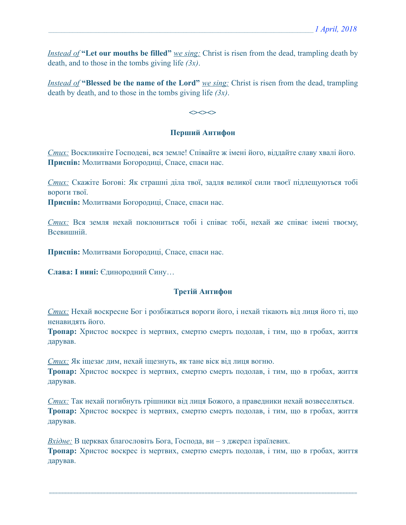*Instead of* "Let our mouths be filled" *we sing:* Christ is risen from the dead, trampling death by death, and to those in the tombs giving life *(3x)*.

*Instead of* **"Blessed be the name of the Lord"** *we sing:* Christ is risen from the dead, trampling death by death, and to those in the tombs giving life *(3x)*.

 $\leftrightarrow$ 

### **Перший Антифон**

*Стих:* Воскликніте Господеві, вся земле! Співайте ж імені його, віддайте славу хвалі його. **Приспів:** Молитвами Богородиці, Спасе, спаси нас.

*Стих:* Скажіте Богові: Як страшні діла твої, задля великої сили твоєї підлещуються тобі вороги твої.

**Приспів:** Молитвами Богородиці, Спасе, спаси нас.

*Стих:* Вся земля нехай поклониться тобі і співає тобі, нехай же співає імені твоєму, Всевишній.

**Приспів:** Молитвами Богородиці, Спасе, спаси нас.

**Слава: І нині:** Єдинородний Сину…

### **Третій Антифон**

*Стих:* Нехай воскресне Бог і розбіжаться вороги його, і нехай тікають від лиця його ті, що ненавидять його.

**Тропар:** Христос воскрес із мертвих, смертю смерть подолав, і тим, що в гробах, життя дарував.

*Стих:* Як іщезає дим, нехай іщезнуть, як тане віск від лиця вогню.

**Тропар:** Христос воскрес із мертвих, смертю смерть подолав, і тим, що в гробах, життя дарував.

*Стих:* Так нехай погибнуть грішники від лиця Божого, а праведники нехай возвеселяться. **Тропар:** Христос воскрес із мертвих, смертю смерть подолав, і тим, що в гробах, життя дарував.

*Вхідне:* В церквах благословіть Бога, Господа, ви – з джерел ізраїлевих. **Тропар:** Христос воскрес із мертвих, смертю смерть подолав, і тим, що в гробах, життя дарував.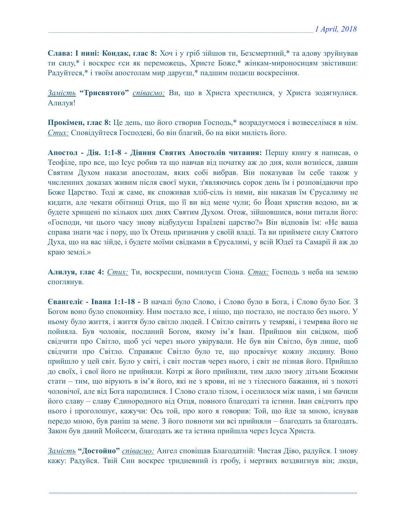**Слава: І нині: Кондак, глас 8:** Хоч і у гріб зійшов ти, Безсмертний,\* та адову зруйнував ти силу,\* і воскрес єси як переможець, Христе Боже,\* жінкам-мироносицям звістивши: Радуйтеся,\* і твоїм апостолам мир даруєш,\* падшим подаєш воскресіння.

*Замість* **"Трисвятого"** *співаємо:* Ви, що в Христа хрестилися, у Христа зодягнулися. Алилуя!

**Прокімен, глас 8:** Це день, що його створив Господь,\* возрадуємося і возвеселімся в нім. *Стих:* Сповідуйтеся Господеві, бо він благий, бо на віки милість його.

**Апостол - Дія. 1:1-8 - Діяння Святих Апостолів читання:** Першу книгу я написав, о Теофіле, про все, що Ісус робив та що навчав від початку аж до дня, коли вознісся, давши Святим Духом накази апостолам, яких собі вибрав. Він показував їм себе також у численних доказах живим після своєї муки, з'являючись сорок день їм і розповідаючи про Боже Царство. Тоді ж саме, як споживав хліб-сіль із ними, він наказав їм Єрусалиму не кидати, але чекати обітниці Отця, що її ви від мене чули; бо Йоан христив водою, ви ж будете хрищені по кількох цих днях Святим Духом. Отож, зійшовшися, вони питали його: «Господи, чи цього часу знову відбудуєш Ізраїлеві царство?» Він відповів їм: «Не ваша справа знати час і пору, що їх Отець призначив у своїй владі. Та ви приймете силу Святого Духа, що на вас зійде, і будете моїми свідками в Єрусалимі, у всій Юдеї та Самарії й аж до краю землі.»

**Алилуя, глас 4:** *Стих:* Ти, воскресши, помилуєш Сіона. *Стих:* Господь з неба на землю споглянув.

**Євангеліє - Івана 1:1-18 -** В началі було Слово, і Слово було в Бога, і Слово було Бог. З Богом воно було споконвіку. Ним постало все, і ніщо, що постало, не постало без нього. У ньому було життя, і життя було світло людей. І Світло світить у темряві, і темрява його не пойняла. Був чоловік, посланий Богом, якому ім'я Іван. Прийшов він свідком, щоб свідчити про Світло, щоб усі через нього увірували. Не був він Світло, був лише, щоб свідчити про Світло. Справжнє Світло було те, що просвічує кожну людину. Воно прийшло у цей світ. Було у світі, і світ постав через нього, і світ не пізнав його. Прийшло до своїх, і свої його не прийняли. Котрі ж його прийняли, тим дало змогу дітьми Божими стати – тим, що вірують в ім'я його, які не з крови, ні не з тілесного бажання, ні з похоті чоловічої, але від Бога народилися. І Слово стало тілом, і оселилося між нами, і ми бачили його славу – славу Єдинородного від Отця, повного благодаті та істини. Іван свідчить про нього і проголошує, кажучи: Ось той, про кого я говорив: Той, що йде за мною, існував передо мною, був раніш за мене. З його повноти ми всі прийняли – благодать за благодать. Закон був даний Мойсеєм, благодать же та істина прийшла через Ісуса Христа.

*Замість* **"Достойно"** *співаємо:* Ангел сповіщав Благодатній: Чистая Діво, радуйся. І знову кажу: Радуйся. Твій Син воскрес тридневний із гробу, і мертвих воздвигнув він; люди,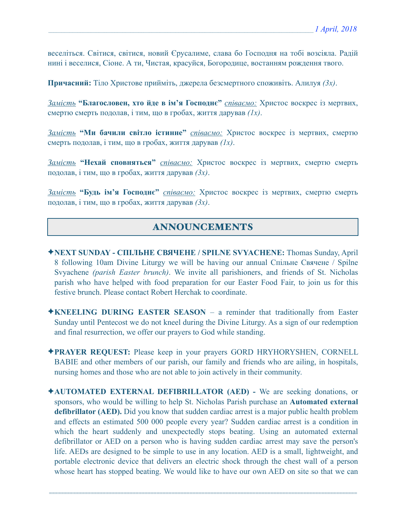веселіться. Світися, світися, новий Єрусалиме, слава бо Господня на тобі возсіяла. Радій нині і веселися, Сіоне. А ти, Чистая, красуйся, Богородице, востанням рождення твого.

**Причасний:** Тіло Христове прийміть, джерела безсмертного споживіть. Алилуя *(3x)*.

*Замість* **"Благословен, хто йде в ім'я Господнє"** *співаємо:* Христос воскрес із мертвих, смертю смерть подолав, і тим, що в гробах, життя дарував *(1x)*.

*Замість* **"Ми бачили світло істинне"** *співаємо:* Христос воскрес із мертвих, смертю смерть подолав, і тим, що в гробах, життя дарував *(1x)*.

*Замість* **"Нехай сповняться"** *співаємо:* Христос воскрес із мертвих, смертю смерть подолав, і тим, що в гробах, життя дарував *(3x)*.

*Замість* **"Будь ім'я Господнє"** *співаємо:* Христос воскрес із мертвих, смертю смерть подолав, і тим, що в гробах, життя дарував *(3x)*.

# ANNOUNCEMENTS

✦**NEXT SUNDAY - СПІЛЬНЕ СВЯЧЕНЕ / SPILNE SVYACHENE:** Thomas Sunday, April 8 following 10am Divine Liturgy we will be having our annual Спільне Свячене / Spilne Svyachene *(parish Easter brunch)*. We invite all parishioners, and friends of St. Nicholas parish who have helped with food preparation for our Easter Food Fair, to join us for this festive brunch. Please contact Robert Herchak to coordinate.

✦**KNEELING DURING EASTER SEASON** – a reminder that traditionally from Easter Sunday until Pentecost we do not kneel during the Divine Liturgy. As a sign of our redemption and final resurrection, we offer our prayers to God while standing.

✦**PRAYER REQUEST:** Please keep in your prayers GORD HRYHORYSHEN, CORNELL BABIE and other members of our parish, our family and friends who are ailing, in hospitals, nursing homes and those who are not able to join actively in their community.

✦**AUTOMATED EXTERNAL DEFIBRILLATOR (AED) -** We are seeking donations, or sponsors, who would be willing to help St. Nicholas Parish purchase an **Automated external defibrillator (AED).** Did you know that sudden cardiac arrest is a major public health problem and effects an estimated 500 000 people every year? Sudden cardiac arrest is a condition in which the heart suddenly and unexpectedly stops beating. Using an automated external defibrillator or AED on a person who is having sudden cardiac arrest may save the person's life. AEDs are designed to be simple to use in any location. AED is a small, lightweight, and portable electronic device that delivers an electric shock through the chest wall of a person whose heart has stopped beating. We would like to have our own AED on site so that we can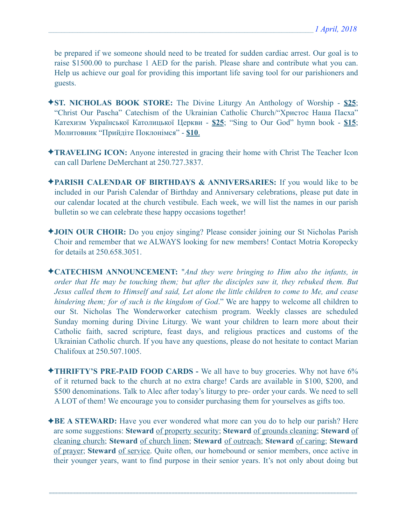be prepared if we someone should need to be treated for sudden cardiac arrest. Our goal is to raise \$1500.00 to purchase 1 AED for the parish. Please share and contribute what you can. Help us achieve our goal for providing this important life saving tool for our parishioners and guests.

- ✦**ST. NICHOLAS BOOK STORE:** The Divine Liturgy An Anthology of Worship **\$25**; "Christ Our Pascha" Catechism of the Ukrainian Catholic Church/"Христос Наша Пасха" Катехизм Української Католицької Церкви - **\$25**; "Sing to Our God" hymn book - **\$15**; Молитовник "Прийдіте Поклонімся" - **\$10**.
- ✦**TRAVELING ICON:** Anyone interested in gracing their home with Christ The Teacher Icon can call Darlene DeMerchant at 250.727.3837.
- ✦**PARISH CALENDAR OF BIRTHDAYS & ANNIVERSARIES:** If you would like to be included in our Parish Calendar of Birthday and Anniversary celebrations, please put date in our calendar located at the church vestibule. Each week, we will list the names in our parish bulletin so we can celebrate these happy occasions together!
- ✦**JOIN OUR CHOIR:** Do you enjoy singing? Please consider joining our St Nicholas Parish Choir and remember that we ALWAYS looking for new members! Contact Motria Koropecky for details at 250.658.3051.
- ✦**CATECHISM ANNOUNCEMENT:** "*And they were bringing to Him also the infants, in order that He may be touching them; but after the disciples saw it, they rebuked them. But Jesus called them to Himself and said, Let alone the little children to come to Me, and cease hindering them; for of such is the kingdom of God*." We are happy to welcome all children to our St. Nicholas The Wonderworker catechism program. Weekly classes are scheduled Sunday morning during Divine Liturgy. We want your children to learn more about their Catholic faith, sacred scripture, feast days, and religious practices and customs of the Ukrainian Catholic church. If you have any questions, please do not hesitate to contact Marian Chalifoux at 250.507.1005.
- ✦**THRIFTY'S PRE-PAID FOOD CARDS** We all have to buy groceries. Why not have 6% of it returned back to the church at no extra charge! Cards are available in \$100, \$200, and \$500 denominations. Talk to Alec after today's liturgy to pre- order your cards. We need to sell A LOT of them! We encourage you to consider purchasing them for yourselves as gifts too.
- ✦**BE A STEWARD:** Have you ever wondered what more can you do to help our parish? Here are some suggestions: **Steward** of property security; **Steward** of grounds cleaning; **Steward** of cleaning church; **Steward** of church linen; **Steward** of outreach; **Steward** of caring; **Steward** of prayer; **Steward** of service. Quite often, our homebound or senior members, once active in their younger years, want to find purpose in their senior years. It's not only about doing but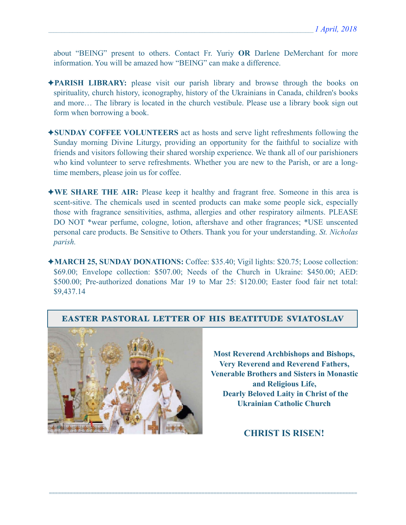about "BEING" present to others. Contact Fr. Yuriy **OR** Darlene DeMerchant for more information. You will be amazed how "BEING" can make a difference.

- ✦**PARISH LIBRARY:** please visit our parish library and browse through the books on spirituality, church history, iconography, history of the Ukrainians in Canada, children's books and more… The library is located in the church vestibule. Please use a library book sign out form when borrowing a book.
- ✦**SUNDAY COFFEE VOLUNTEERS** act as hosts and serve light refreshments following the Sunday morning Divine Liturgy, providing an opportunity for the faithful to socialize with friends and visitors following their shared worship experience. We thank all of our parishioners who kind volunteer to serve refreshments. Whether you are new to the Parish, or are a longtime members, please join us for coffee.
- ✦**WE SHARE THE AIR:** Please keep it healthy and fragrant free. Someone in this area is scent-sitive. The chemicals used in scented products can make some people sick, especially those with fragrance sensitivities, asthma, allergies and other respiratory ailments. PLEASE DO NOT \*wear perfume, cologne, lotion, aftershave and other fragrances; \*USE unscented personal care products. Be Sensitive to Others. Thank you for your understanding. *St. Nicholas parish.*
- ✦**MARCH 25, SUNDAY DONATIONS:** Coffee: \$35.40; Vigil lights: \$20.75; Loose collection: \$69.00; Envelope collection: \$507.00; Needs of the Church in Ukraine: \$450.00; AED: \$500.00; Pre-authorized donations Mar 19 to Mar 25: \$120.00; Easter food fair net total: \$9,437.14

## EASTER PASTORAL LETTER OF HIS BEATITUDE SVIATOSLAV

=======================================================================================================



**Most Reverend Archbishops and Bishops, Very Reverend and Reverend Fathers, Venerable Brothers and Sisters in Monastic and Religious Life, Dearly Beloved Laity in Christ of the Ukrainian Catholic Church**

## **CHRIST IS RISEN!**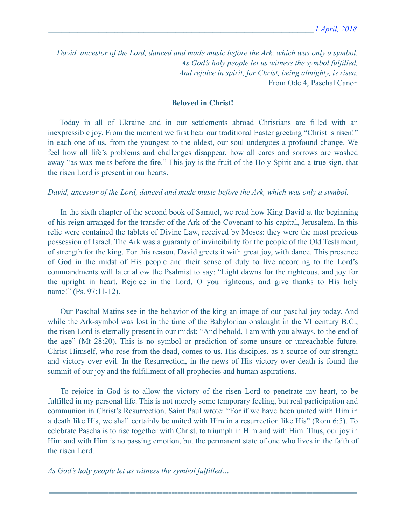*David, ancestor of the Lord, danced and made music before the Ark, which was only a symbol. As God's holy people let us witness the symbol fulfilled, And rejoice in spirit, for Christ, being almighty, is risen.*  From Ode 4, Paschal Canon

#### **Beloved in Christ!**

Today in all of Ukraine and in our settlements abroad Christians are filled with an inexpressible joy. From the moment we first hear our traditional Easter greeting "Christ is risen!" in each one of us, from the youngest to the oldest, our soul undergoes a profound change. We feel how all life's problems and challenges disappear, how all cares and sorrows are washed away "as wax melts before the fire." This joy is the fruit of the Holy Spirit and a true sign, that the risen Lord is present in our hearts.

#### *David, ancestor of the Lord, danced and made music before the Ark, which was only a symbol.*

In the sixth chapter of the second book of Samuel, we read how King David at the beginning of his reign arranged for the transfer of the Ark of the Covenant to his capital, Jerusalem. In this relic were contained the tablets of Divine Law, received by Moses: they were the most precious possession of Israel. The Ark was a guaranty of invincibility for the people of the Old Testament, of strength for the king. For this reason, David greets it with great joy, with dance. This presence of God in the midst of His people and their sense of duty to live according to the Lord's commandments will later allow the Psalmist to say: "Light dawns for the righteous, and joy for the upright in heart. Rejoice in the Lord, O you righteous, and give thanks to His holy name!" (Ps. 97:11-12).

Our Paschal Matins see in the behavior of the king an image of our paschal joy today. And while the Ark-symbol was lost in the time of the Babylonian onslaught in the VI century B.C., the risen Lord is eternally present in our midst: "And behold, I am with you always, to the end of the age" (Mt 28:20). This is no symbol or prediction of some unsure or unreachable future. Christ Himself, who rose from the dead, comes to us, His disciples, as a source of our strength and victory over evil. In the Resurrection, in the news of His victory over death is found the summit of our joy and the fulfillment of all prophecies and human aspirations.

To rejoice in God is to allow the victory of the risen Lord to penetrate my heart, to be fulfilled in my personal life. This is not merely some temporary feeling, but real participation and communion in Christ's Resurrection. Saint Paul wrote: "For if we have been united with Him in a death like His, we shall certainly be united with Him in a resurrection like His" (Rom 6:5). To celebrate Pascha is to rise together with Christ, to triumph in Him and with Him. Thus, our joy in Him and with Him is no passing emotion, but the permanent state of one who lives in the faith of the risen Lord.

=======================================================================================================

*As God's holy people let us witness the symbol fulfilled…*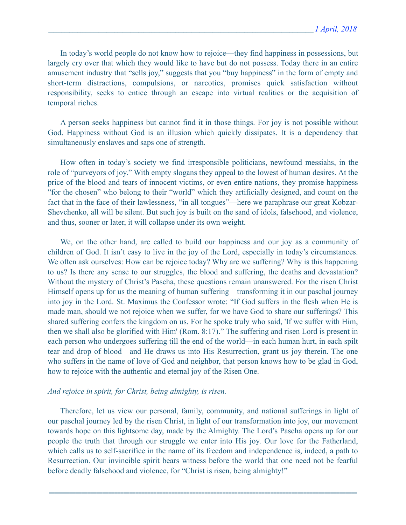In today's world people do not know how to rejoice—they find happiness in possessions, but largely cry over that which they would like to have but do not possess. Today there in an entire amusement industry that "sells joy," suggests that you "buy happiness" in the form of empty and short-term distractions, compulsions, or narcotics, promises quick satisfaction without responsibility, seeks to entice through an escape into virtual realities or the acquisition of temporal riches.

A person seeks happiness but cannot find it in those things. For joy is not possible without God. Happiness without God is an illusion which quickly dissipates. It is a dependency that simultaneously enslaves and saps one of strength.

How often in today's society we find irresponsible politicians, newfound messiahs, in the role of "purveyors of joy." With empty slogans they appeal to the lowest of human desires. At the price of the blood and tears of innocent victims, or even entire nations, they promise happiness "for the chosen" who belong to their "world" which they artificially designed, and count on the fact that in the face of their lawlessness, "in all tongues"—here we paraphrase our great Kobzar-Shevchenko, all will be silent. But such joy is built on the sand of idols, falsehood, and violence, and thus, sooner or later, it will collapse under its own weight.

We, on the other hand, are called to build our happiness and our joy as a community of children of God. It isn't easy to live in the joy of the Lord, especially in today's circumstances. We often ask ourselves: How can be rejoice today? Why are we suffering? Why is this happening to us? Is there any sense to our struggles, the blood and suffering, the deaths and devastation? Without the mystery of Christ's Pascha, these questions remain unanswered. For the risen Christ Himself opens up for us the meaning of human suffering—transforming it in our paschal journey into joy in the Lord. St. Maximus the Confessor wrote: "If God suffers in the flesh when He is made man, should we not rejoice when we suffer, for we have God to share our sufferings? This shared suffering confers the kingdom on us. For he spoke truly who said, 'If we suffer with Him, then we shall also be glorified with Him' (Rom. 8:17)." The suffering and risen Lord is present in each person who undergoes suffering till the end of the world—in each human hurt, in each spilt tear and drop of blood—and He draws us into His Resurrection, grant us joy therein. The one who suffers in the name of love of God and neighbor, that person knows how to be glad in God, how to rejoice with the authentic and eternal joy of the Risen One.

#### *And rejoice in spirit, for Christ, being almighty, is risen.*

Therefore, let us view our personal, family, community, and national sufferings in light of our paschal journey led by the risen Christ, in light of our transformation into joy, our movement towards hope on this lightsome day, made by the Almighty. The Lord's Pascha opens up for our people the truth that through our struggle we enter into His joy. Our love for the Fatherland, which calls us to self-sacrifice in the name of its freedom and independence is, indeed, a path to Resurrection. Our invincible spirit bears witness before the world that one need not be fearful before deadly falsehood and violence, for "Christ is risen, being almighty!"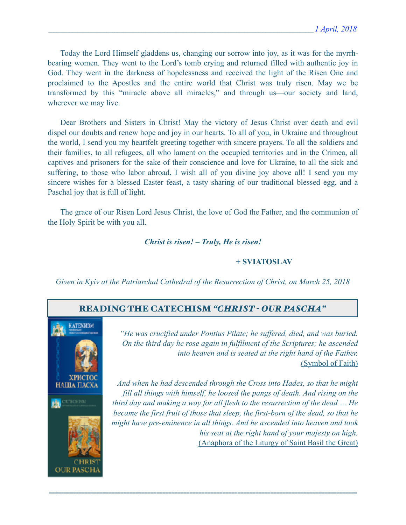Today the Lord Himself gladdens us, changing our sorrow into joy, as it was for the myrrhbearing women. They went to the Lord's tomb crying and returned filled with authentic joy in God. They went in the darkness of hopelessness and received the light of the Risen One and proclaimed to the Apostles and the entire world that Christ was truly risen. May we be transformed by this "miracle above all miracles," and through us—our society and land, wherever we may live.

Dear Brothers and Sisters in Christ! May the victory of Jesus Christ over death and evil dispel our doubts and renew hope and joy in our hearts. To all of you, in Ukraine and throughout the world, I send you my heartfelt greeting together with sincere prayers. To all the soldiers and their families, to all refugees, all who lament on the occupied territories and in the Crimea, all captives and prisoners for the sake of their conscience and love for Ukraine, to all the sick and suffering, to those who labor abroad, I wish all of you divine joy above all! I send you my sincere wishes for a blessed Easter feast, a tasty sharing of our traditional blessed egg, and a Paschal joy that is full of light.

The grace of our Risen Lord Jesus Christ, the love of God the Father, and the communion of the Holy Spirit be with you all.

#### *Christ is risen! – Truly, He is risen!*

#### **+ SVIATOSLAV**

*Given in Kyiv at the Patriarchal Cathedral of the Resurrection of Christ, on March 25, 2018* 

### READING THE CATECHISM *"CHRIST - OUR PASCHA"*

=======================================================================================================



*"He was crucified under Pontius Pilate; he suffered, died, and was buried. On the third day he rose again in fulfilment of the Scriptures; he ascended into heaven and is seated at the right hand of the Father.*  (Symbol of Faith)

*And when he had descended through the Cross into Hades, so that he might*  fill all things with himself, he loosed the pangs of death. And rising on the *third day and making a way for all flesh to the resurrection of the dead … He became the first fruit of those that sleep, the first-born of the dead, so that he might have pre-eminence in all things. And he ascended into heaven and took his seat at the right hand of your majesty on high.*  (Anaphora of the Liturgy of Saint Basil the Great)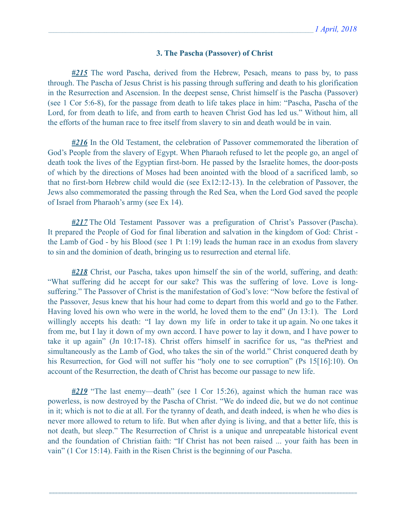#### **3. The Pascha (Passover) of Christ**

*#215* The word Pascha, derived from the Hebrew, Pesach, means to pass by, to pass through. The Pascha of Jesus Christ is his passing through suffering and death to his glorification in the Resurrection and Ascension. In the deepest sense, Christ himself is the Pascha (Passover) (see 1 Cor 5:6-8), for the passage from death to life takes place in him: "Pascha, Pascha of the Lord, for from death to life, and from earth to heaven Christ God has led us." Without him, all the efforts of the human race to free itself from slavery to sin and death would be in vain.

*#216* In the Old Testament, the celebration of Passover commemorated the liberation of God's People from the slavery of Egypt. When Pharaoh refused to let the people go, an angel of death took the lives of the Egyptian first-born. He passed by the Israelite homes, the door-posts of which by the directions of Moses had been anointed with the blood of a sacrificed lamb, so that no first-born Hebrew child would die (see Ex12:12-13). In the celebration of Passover, the Jews also commemorated the passing through the Red Sea, when the Lord God saved the people of Israel from Pharaoh's army (see Ex 14).

*#217* The Old Testament Passover was a prefiguration of Christ's Passover (Pascha). It prepared the People of God for final liberation and salvation in the kingdom of God: Christ the Lamb of God - by his Blood (see 1 Pt 1:19) leads the human race in an exodus from slavery to sin and the dominion of death, bringing us to resurrection and eternal life.

*#218* Christ, our Pascha, takes upon himself the sin of the world, suffering, and death: "What suffering did he accept for our sake? This was the suffering of love. Love is longsuffering." The Passover of Christ is the manifestation of God's love: "Now before the festival of the Passover, Jesus knew that his hour had come to depart from this world and go to the Father. Having loved his own who were in the world, he loved them to the end" (Jn 13:1). The Lord willingly accepts his death: "I lay down my life in order to take it up again. No one takes it from me, but I lay it down of my own accord. I have power to lay it down, and I have power to take it up again" (Jn 10:17-18). Christ offers himself in sacrifice for us, "as thePriest and simultaneously as the Lamb of God, who takes the sin of the world." Christ conquered death by his Resurrection, for God will not suffer his "holy one to see corruption" (Ps 15[16]:10). On account of the Resurrection, the death of Christ has become our passage to new life.

*#219* "The last enemy—death" (see 1 Cor 15:26), against which the human race was powerless, is now destroyed by the Pascha of Christ. "We do indeed die, but we do not continue in it; which is not to die at all. For the tyranny of death, and death indeed, is when he who dies is never more allowed to return to life. But when after dying is living, and that a better life, this is not death, but sleep." The Resurrection of Christ is a unique and unrepeatable historical event and the foundation of Christian faith: "If Christ has not been raised ... your faith has been in vain" (1 Cor 15:14). Faith in the Risen Christ is the beginning of our Pascha.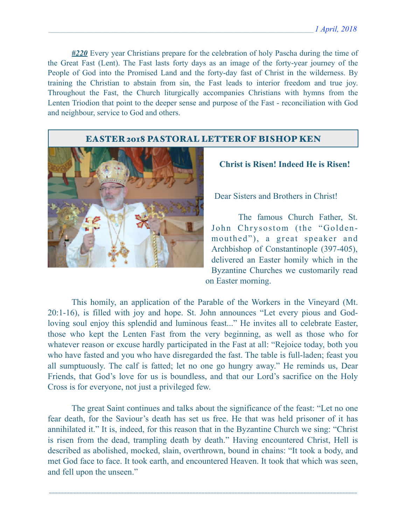*#220* Every year Christians prepare for the celebration of holy Pascha during the time of the Great Fast (Lent). The Fast lasts forty days as an image of the forty-year journey of the People of God into the Promised Land and the forty-day fast of Christ in the wilderness. By training the Christian to abstain from sin, the Fast leads to interior freedom and true joy. Throughout the Fast, the Church liturgically accompanies Christians with hymns from the Lenten Triodion that point to the deeper sense and purpose of the Fast - reconciliation with God and neighbour, service to God and others.

## EASTER 2018 PASTORAL LETTER OF BISHOP KEN



## **Christ is Risen! Indeed He is Risen!**

Dear Sisters and Brothers in Christ!

 The famous Church Father, St. John Chrysostom (the "Goldenmouthed"), a great speaker and Archbishop of Constantinople (397-405), delivered an Easter homily which in the Byzantine Churches we customarily read on Easter morning.

 This homily, an application of the Parable of the Workers in the Vineyard (Mt. 20:1-16), is filled with joy and hope. St. John announces "Let every pious and Godloving soul enjoy this splendid and luminous feast..." He invites all to celebrate Easter, those who kept the Lenten Fast from the very beginning, as well as those who for whatever reason or excuse hardly participated in the Fast at all: "Rejoice today, both you who have fasted and you who have disregarded the fast. The table is full-laden; feast you all sumptuously. The calf is fatted; let no one go hungry away." He reminds us, Dear Friends, that God's love for us is boundless, and that our Lord's sacrifice on the Holy Cross is for everyone, not just a privileged few.

 The great Saint continues and talks about the significance of the feast: "Let no one fear death, for the Saviour's death has set us free. He that was held prisoner of it has annihilated it." It is, indeed, for this reason that in the Byzantine Church we sing: "Christ is risen from the dead, trampling death by death." Having encountered Christ, Hell is described as abolished, mocked, slain, overthrown, bound in chains: "It took a body, and met God face to face. It took earth, and encountered Heaven. It took that which was seen, and fell upon the unseen."